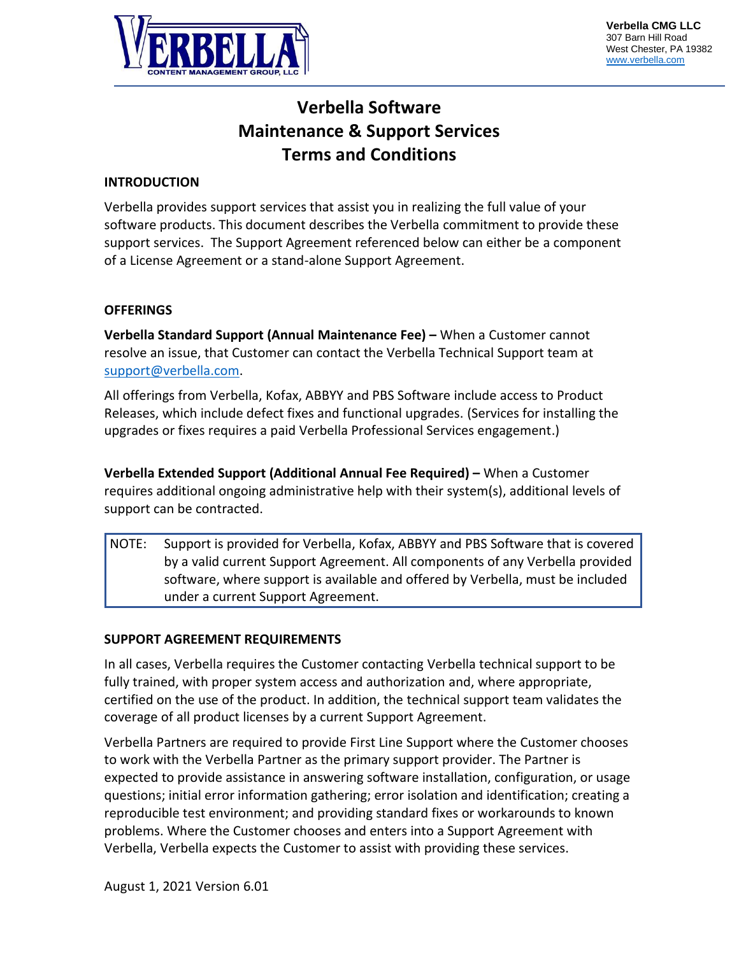

# **Verbella Software Maintenance & Support Services Terms and Conditions**

# **INTRODUCTION**

Verbella provides support services that assist you in realizing the full value of your software products. This document describes the Verbella commitment to provide these support services. The Support Agreement referenced below can either be a component of a License Agreement or a stand-alone Support Agreement.

### **OFFERINGS**

**Verbella Standard Support (Annual Maintenance Fee) –** When a Customer cannot resolve an issue, that Customer can contact the Verbella Technical Support team at [support@verbella.com.](mailto:support@verbella.com)

All offerings from Verbella, Kofax, ABBYY and PBS Software include access to Product Releases, which include defect fixes and functional upgrades. (Services for installing the upgrades or fixes requires a paid Verbella Professional Services engagement.)

**Verbella Extended Support (Additional Annual Fee Required) –** When a Customer requires additional ongoing administrative help with their system(s), additional levels of support can be contracted.

NOTE: Support is provided for Verbella, Kofax, ABBYY and PBS Software that is covered by a valid current Support Agreement. All components of any Verbella provided software, where support is available and offered by Verbella, must be included under a current Support Agreement.

### **SUPPORT AGREEMENT REQUIREMENTS**

In all cases, Verbella requires the Customer contacting Verbella technical support to be fully trained, with proper system access and authorization and, where appropriate, certified on the use of the product. In addition, the technical support team validates the coverage of all product licenses by a current Support Agreement.

Verbella Partners are required to provide First Line Support where the Customer chooses to work with the Verbella Partner as the primary support provider. The Partner is expected to provide assistance in answering software installation, configuration, or usage questions; initial error information gathering; error isolation and identification; creating a reproducible test environment; and providing standard fixes or workarounds to known problems. Where the Customer chooses and enters into a Support Agreement with Verbella, Verbella expects the Customer to assist with providing these services.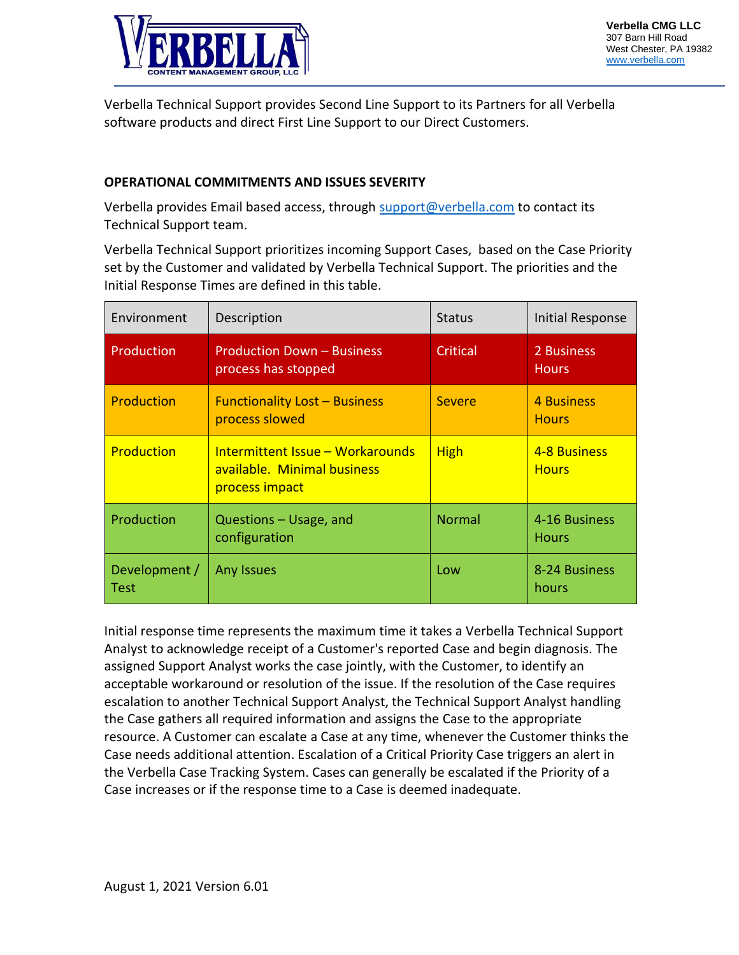

Verbella Technical Support provides Second Line Support to its Partners for all Verbella software products and direct First Line Support to our Direct Customers.

# **OPERATIONAL COMMITMENTS AND ISSUES SEVERITY**

Verbella provides Email based access, through [support@verbella.com](mailto:support@verbella.com) to contact its Technical Support team.

Verbella Technical Support prioritizes incoming Support Cases, based on the Case Priority set by the Customer and validated by Verbella Technical Support. The priorities and the Initial Response Times are defined in this table.

| Environment                  | Description                                                                       | <b>Status</b> | Initial Response              |
|------------------------------|-----------------------------------------------------------------------------------|---------------|-------------------------------|
| Production                   | <b>Production Down - Business</b><br>process has stopped                          | Critical      | 2 Business<br><b>Hours</b>    |
| <b>Production</b>            | <b>Functionality Lost - Business</b><br>process slowed                            | <b>Severe</b> | 4 Business<br><b>Hours</b>    |
| Production                   | Intermittent Issue – Workarounds<br>available. Minimal business<br>process impact | <b>High</b>   | 4-8 Business<br><b>Hours</b>  |
| Production                   | Questions - Usage, and<br>configuration                                           | <b>Normal</b> | 4-16 Business<br><b>Hours</b> |
| Development /<br><b>Test</b> | <b>Any Issues</b>                                                                 | Low           | 8-24 Business<br>hours        |

Initial response time represents the maximum time it takes a Verbella Technical Support Analyst to acknowledge receipt of a Customer's reported Case and begin diagnosis. The assigned Support Analyst works the case jointly, with the Customer, to identify an acceptable workaround or resolution of the issue. If the resolution of the Case requires escalation to another Technical Support Analyst, the Technical Support Analyst handling the Case gathers all required information and assigns the Case to the appropriate resource. A Customer can escalate a Case at any time, whenever the Customer thinks the Case needs additional attention. Escalation of a Critical Priority Case triggers an alert in the Verbella Case Tracking System. Cases can generally be escalated if the Priority of a Case increases or if the response time to a Case is deemed inadequate.